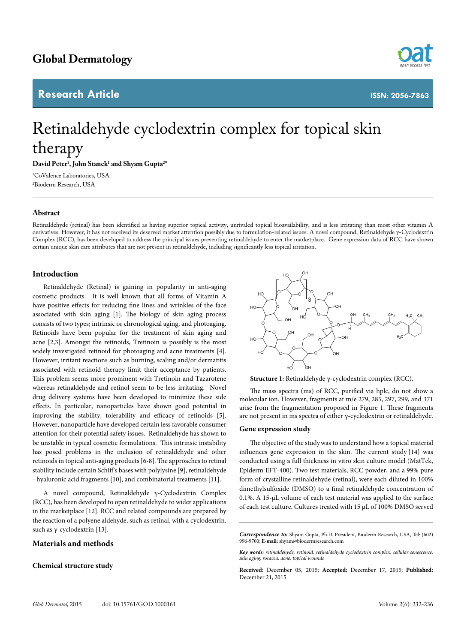# **Research Article**



# Retinaldehyde cyclodextrin complex for topical skin therapy

**David Peter1 , John Stanek1 and Shyam Gupta2 \***

1 CoValence Laboratories, USA 2 Bioderm Research, USA

# **Abstract**

Retinaldehyde (retinal) has been identified as having superior topical activity, unrivaled topical bioavailability, and is less irritating than most other vitamin A derivatives. However, it has not received its deserved market attention possibly due to formulation-related issues. A novel compound, Retinaldehyde γ-Cyclodextrin Complex (RCC), has been developed to address the principal issues preventing retinaldehyde to enter the marketplace. Gene expression data of RCC have shown certain unique skin care attributes that are not present in retinaldehyde, including significantly less topical irritation.

# **Introduction**

Retinaldehyde (Retinal) is gaining in popularity in anti-aging cosmetic products. It is well known that all forms of Vitamin A have positive effects for reducing fine lines and wrinkles of the face associated with skin aging [1]. The biology of skin aging process consists of two types; intrinsic or chronological aging, and photoaging. Retinoids have been popular for the treatment of skin aging and acne [2,3]. Amongst the retinoids, Tretinoin is possibly is the most widely investigated retinoid for photoaging and acne treatments [4]. However, irritant reactions such as burning, scaling and/or dermatitis associated with retinoid therapy limit their acceptance by patients. This problem seems more prominent with Tretinoin and Tazarotene whereas retinaldehyde and retinol seem to be less irritating. Novel drug delivery systems have been developed to minimize these side effects. In particular, nanoparticles have shown good potential in improving the stability, tolerability and efficacy of retinoids [5]. However, nanoparticle have developed certain less favorable consumer attention for their potential safety issues. Retinaldehyde has shown to be unstable in typical cosmetic formulations. This intrinsic instability has posed problems in the inclusion of retinaldehyde and other retinoids in topical anti-aging products [6-8]. The approaches to retinal stability include certain Schiff's bases with polylysine [9], retinaldehyde - hyaluronic acid fragments [10], and combinatorial treatments [11].

A novel compound, Retinaldehyde γ-Cyclodextrin Complex (RCC), has been developed to open retinaldehyde to wider applications in the marketplace [12]. RCC and related compounds are prepared by the reaction of a polyene aldehyde, such as retinal, with a cyclodextrin, such as γ-cyclodextrin [13].

# **Materials and methods**

# **Chemical structure study**

**Structure 1:** Retinaldehyde γ-cyclodextrin complex (RCC).

The mass spectra (ms) of RCC, purified via hplc, do not show a molecular ion. However, fragments at m/e 279, 285, 297, 299, and 371 arise from the fragmentation proposed in Figure 1. These fragments are not present in ms spectra of either γ-cyclodextrin or retinaldehyde.

#### **Gene expression study**

The objective of the studywas to understand how a topical material influences gene expression in the skin. The current study [14] was conducted using a full thickness in vitro skin culture model (MatTek, Epiderm EFT-400). Two test materials, RCC powder, and a 99% pure form of crystalline retinaldehyde (retinal), were each diluted in 100% dimethylsulfoxide (DMSO) to a final retinaldehyde concentration of 0.1%. A 15-μL volume of each test material was applied to the surface of each test culture. Cultures treated with 15 μL of 100% DMSO served

*Correspondence to:* Shyam Gupta, Ph.D. President, Bioderm Research, USA, Tel: (602) 996-9700; **E-mail:** shyam@biodermresearch.com

*Key words: retinaldehyde, retinoid, retinaldehyde cyclodextrin complex, cellular senescence, skin aging, rosacea, acne, topical wounds*

**Received:** December 05, 2015; **Accepted:** December 17, 2015; **Published:**  December 21, 2015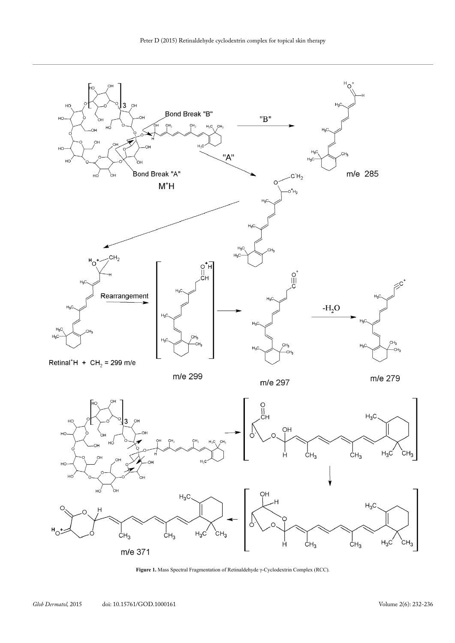

**Figure 1.** Mass Spectral Fragmentation of Retinaldehyde γ-Cyclodextrin Complex (RCC).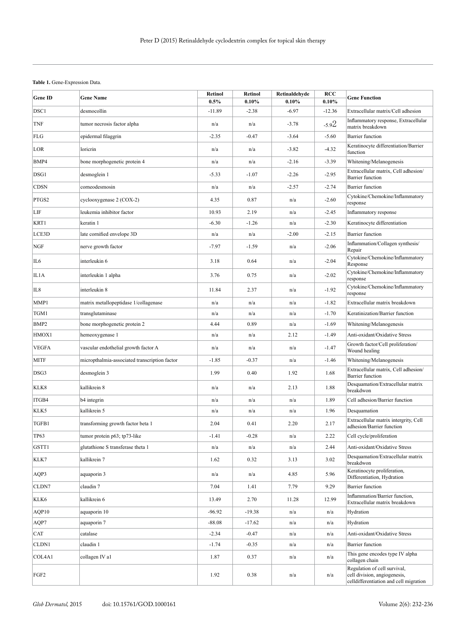# Table 1. Gene-Expression Data.

| <b>Gene ID</b>   | <b>Gene Name</b>                              | <b>Retinol</b><br>0.5% | <b>Retinol</b><br>$0.10\%$ | Retinaldehyde<br>$0.10\%$ | <b>RCC</b><br>0.10% | <b>Gene Function</b>                                                                                   |
|------------------|-----------------------------------------------|------------------------|----------------------------|---------------------------|---------------------|--------------------------------------------------------------------------------------------------------|
| DSC1             | desmocollin                                   | $-11.89$               | $-2.38$                    | $-6.97$                   | $-12.36$            | Extracellular matrix/Cell adhesion                                                                     |
| TNF              | tumor necrosis factor alpha                   | n/a                    | n/a                        | $-3.78$                   | $-5.92$             | Inflammatory response, Extracellular<br>matrix breakdown                                               |
| FLG              | epidermal filaggrin                           | $-2.35$                | $-0.47$                    | $-3.64$                   | $-5.60$             | <b>Barrier</b> function                                                                                |
| LOR              | loricrin                                      | n/a                    | n/a                        | $-3.82$                   | $-4.32$             | Keratinocyte differentiation/Barrier<br>function                                                       |
| BMP4             | bone morphogenetic protein 4                  | n/a                    | n/a                        | $-2.16$                   | $-3.39$             | Whitening/Melanogenesis                                                                                |
| DSG1             | desmoglein 1                                  | $-5.33$                | $-1.07$                    | $-2.26$                   | $-2.95$             | Extracellular matrix, Cell adhesion/<br><b>Barrier</b> function                                        |
| CDSN             | corneodesmosin                                | n/a                    | n/a                        | $-2.57$                   | $-2.74$             | <b>Barrier function</b>                                                                                |
| PTGS2            | cyclooxygenase 2 (COX-2)                      | 4.35                   | 0.87                       | n/a                       | $-2.60$             | Cytokine/Chemokine/Inflammatory<br>response                                                            |
| LIF              | leukemia inhibitor factor                     | 10.93                  | 2.19                       | n/a                       | $-2.45$             | Inflammatory response                                                                                  |
| KRT1             | keratin 1                                     | $-6.30$                | $-1.26$                    | n/a                       | $-2.30$             | Keratinocyte differentiation                                                                           |
| LCE3D            | late cornified envelope 3D                    | n/a                    | n/a                        | $-2.00$                   | $-2.15$             | <b>Barrier function</b>                                                                                |
| NGF              | nerve growth factor                           | $-7.97$                | $-1.59$                    | n/a                       | $-2.06$             | Inflammation/Collagen synthesis/<br>Repair                                                             |
| IL6              | interleukin 6                                 | 3.18                   | 0.64                       | n/a                       | $-2.04$             | Cytokine/Chemokine/Inflammatory<br>Response                                                            |
| IL1A             | interleukin 1 alpha                           | 3.76                   | 0.75                       | n/a                       | $-2.02$             | Cytokine/Chemokine/Inflammatory<br>response                                                            |
| IL8              | interleukin 8                                 | 11.84                  | 2.37                       | n/a                       | $-1.92$             | Cytokine/Chemokine/Inflammatory<br>response                                                            |
| MMP1             | matrix metallopeptidase 1/collagenase         | n/a                    | n/a                        | n/a                       | $-1.82$             | Extracellular matrix breakdown                                                                         |
| TGM1             | transglutaminase                              | n/a                    | n/a                        | n/a                       | $-1.70$             | Keratinization/Barrier function                                                                        |
| BMP <sub>2</sub> | bone morphogenetic protein 2                  | 4.44                   | 0.89                       | n/a                       | $-1.69$             | Whitening/Melanogenesis                                                                                |
| HMOX1            | hemeoxygenase 1                               | n/a                    | n/a                        | 2.12                      | $-1.49$             | Anti-oxidant/Oxidative Stress                                                                          |
| <b>VEGFA</b>     | vascular endothelial growth factor A          | n/a                    | n/a                        | n/a                       | $-1.47$             | Growth factor/Cell proliferation/<br>Wound healing                                                     |
| MITF             | micropthalmia-associated transcription factor | -1.85                  | $-0.37$                    | n/a                       | $-1.46$             | Whitening/Melanogenesis                                                                                |
| DSG3             | desmoglein 3                                  | 1.99                   | 0.40                       | 1.92                      | 1.68                | Extracellular matrix, Cell adhesion/<br><b>Barrier</b> function                                        |
| KLK8             | kallikrein 8                                  | n/a                    | n/a                        | 2.13                      | 1.88                | Desquamation/Extracellular matrix<br>breakdwon                                                         |
| ITGB4            | b4 integrin                                   | n/a                    | n/a                        | n/a                       | 1.89                | Cell adhesion/Barrier function                                                                         |
| KLK5             | kallikrein 5                                  | n/a                    | n/a                        | n/a                       | 1.96                | Desquamation                                                                                           |
| TGFB1            | transforming growth factor beta 1             | 2.04                   | 0.41                       | 2.20                      | 2.17                | Extracellular matrix intergrity, Cell<br>adhesion/Barrier function                                     |
| TP63             | tumor protein p63; tp73-like                  | $-1.41$                | $-0.28$                    | n/a                       | 2.22                | Cell cycle/proliferation                                                                               |
| GSTT1            | glutathione S transferase theta 1             | n/a                    | n/a                        | n/a                       | 2.44                | Anti-oxidant/Oxidative Stress                                                                          |
| KLK7             | kallikrein 7                                  | 1.62                   | 0.32                       | 3.13                      | 3.02                | Desquamation/Extracellular matrix<br>breakdwon                                                         |
| AQP3             | aquaporin 3                                   | n/a                    | n/a                        | 4.85                      | 5.96                | Keratinocyte proliferation,<br>Differentiation, Hydration                                              |
| CLDN7            | claudin 7                                     | 7.04                   | 1.41                       | 7.79                      | 9.29                | <b>Barrier</b> function                                                                                |
| KLK6             | kallikrein 6                                  | 13.49                  | 2.70                       | 11.28                     | 12.99               | Inflammation/Barrier function,<br>Extracellular matrix breakdown                                       |
| AQP10            | aquaporin 10                                  | $-96.92$               | $-19.38$                   | n/a                       | n/a                 | Hydration                                                                                              |
| AQP7             | aquaporin 7                                   | $-88.08$               | $-17.62$                   | n/a                       | n/a                 | Hydration                                                                                              |
| CAT              | catalase                                      | $-2.34$                | $-0.47$                    | n/a                       | n/a                 | Anti-oxidant/Oxidative Stress                                                                          |
| CLDN1            | claudin 1                                     | $-1.74$                | $-0.35$                    | n/a                       | n/a                 | <b>Barrier</b> function                                                                                |
| COL4A1           | collagen IV al                                | 1.87                   | 0.37                       | n/a                       | n/a                 | This gene encodes type IV alpha<br>collagen chain                                                      |
| FGF2             |                                               | 1.92                   | 0.38                       | n/a                       | n/a                 | Regulation of cell survival,<br>cell division, angiogenesis,<br>celldifferentiation and cell migration |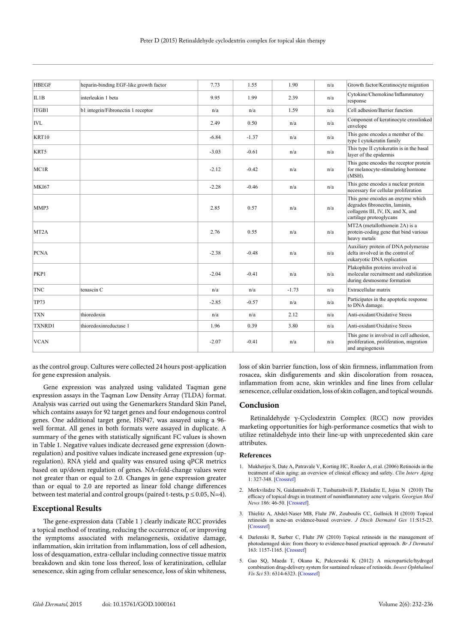| <b>HBEGF</b>      | heparin-binding EGF-like growth factor | 7.73    | 1.55    | 1.90    | n/a | Growth factor/Keratinocyte migration                                                                                                |
|-------------------|----------------------------------------|---------|---------|---------|-----|-------------------------------------------------------------------------------------------------------------------------------------|
| IL1B              | interleukin 1 beta                     | 9.95    | 1.99    | 2.39    | n/a | Cytokine/Chemokine/Inflammatory<br>response                                                                                         |
| ITGB1             | b1 integrin/Fibronectin 1 receptor     | n/a     | n/a     | 1.59    | n/a | Cell adhesion/Barrier function                                                                                                      |
| <b>IVL</b>        |                                        | 2.49    | 0.50    | n/a     | n/a | Component of keratinocyte crosslinked<br>envelope                                                                                   |
| KRT10             |                                        | $-6.84$ | $-1.37$ | n/a     | n/a | This gene encodes a member of the<br>type I cytokeratin family                                                                      |
| KRT5              |                                        | $-3.03$ | $-0.61$ | n/a     | n/a | This type II cytokeratin is in the basal<br>layer of the epidermis                                                                  |
| MC1R              |                                        | $-2.12$ | $-0.42$ | n/a     | n/a | This gene encodes the receptor protein<br>for melanocyte-stimulating hormone<br>$(MSH)$ .                                           |
| <b>MKI67</b>      |                                        | $-2.28$ | $-0.46$ | n/a     | n/a | This gene encodes a nuclear protein<br>necessary for cellular proliferation                                                         |
| MMP3              |                                        | 2.85    | 0.57    | n/a     | n/a | This gene encodes an enzyme which<br>degrades fibronectin, laminin,<br>collagens III, IV, IX, and X, and<br>cartilage proteoglycans |
| MT <sub>2</sub> A |                                        | 2.76    | 0.55    | n/a     | n/a | MT2A (metallothionein 2A) is a<br>protein-coding gene that bind various<br>heavy metals                                             |
| <b>PCNA</b>       |                                        | $-2.38$ | $-0.48$ | n/a     | n/a | Auxiliary protein of DNA polymerase<br>delta involved in the control of<br>eukaryotic DNA replication                               |
| PKP1              |                                        | $-2.04$ | $-0.41$ | n/a     | n/a | Plakophilin proteins involved in<br>molecular recruitment and stabilization<br>during desmosome formation                           |
| <b>TNC</b>        | tenascin C                             | n/a     | n/a     | $-1.73$ | n/a | Extracellular matrix                                                                                                                |
| <b>TP73</b>       |                                        | $-2.85$ | $-0.57$ | n/a     | n/a | Participates in the apoptotic response<br>to DNA damage.                                                                            |
| <b>TXN</b>        | thioredoxin                            | n/a     | n/a     | 2.12    | n/a | Anti-oxidant/Oxidative Stress                                                                                                       |
| TXNRD1            | thioredoxinreductase 1                 | 1.96    | 0.39    | 3.80    | n/a | Anti-oxidant/Oxidative Stress                                                                                                       |
| <b>VCAN</b>       |                                        | $-2.07$ | $-0.41$ | n/a     | n/a | This gene is involved in cell adhesion,<br>proliferation, proliferation, migration<br>and angiogenesis                              |

as the control group. Cultures were collected 24 hours post-application for gene expression analysis.

Gene expression was analyzed using validated Taqman gene expression assays in the Taqman Low Density Array (TLDA) format. Analysis was carried out using the Genemarkers Standard Skin Panel, which contains assays for 92 target genes and four endogenous control genes. One additional target gene, HSP47, was assayed using a 96 well format. All genes in both formats were assayed in duplicate. A summary of the genes with statistically significant FC values is shown in Table 1. Negative values indicate decreased gene expression (downregulation) and positive values indicate increased gene expression (upregulation). RNA yield and quality was ensured using qPCR metrics based on up/down regulation of genes. NA=fold-change values were not greater than or equal to 2.0. Changes in gene expression greater than or equal to 2.0 are reported as linear fold change differences between test material and control groups (paired t-tests,  $p \le 0.05$ , N=4).

### **Exceptional Results**

The gene-expression data (Table 1 ) clearly indicate RCC provides a topical method of treating, reducing the occurrence of, or improving the symptoms associated with melanogenesis, oxidative damage, inflammation, skin irritation from inflammation, loss of cell adhesion, loss of desquamation, extra-cellular including connective tissue matrix breakdown and skin tone loss thereof, loss of keratinization, cellular senescence, skin aging from cellular senescence, loss of skin whiteness,

loss of skin barrier function, loss of skin firmness, inflammation from rosacea, skin disfigurements and skin discoloration from rosacea, inflammation from acne, skin wrinkles and fine lines from cellular senescence, cellular oxidation, loss of skin collagen, and topical wounds.

#### **Conclusion**

Retinaldehyde γ-Cyclodextrin Complex (RCC) now provides marketing opportunities for high-performance cosmetics that wish to utilize retinaldehyde into their line-up with unprecedented skin care attributes.

#### **References**

- 1. Mukherjee S, Date A, Patravale V, Korting HC, Roeder A, et al. (2006) Retinoids in the treatment of skin aging: an overview of clinical efficacy and safety. *Clin Interv Aging* 1: 327-348. [[Crossref](http://www.ncbi.nlm.nih.gov/pubmed/18046911)]
- 2. Merkviladze N, Gaidamashvili T, Tushurashvili P, Ekaladze E, Jojua N (2010) The efficacy of topical drugs in treatment of noninflammatory acne vulgaris. *Georgian Med News* 186: 46-50. [[Crossref](http://www.ncbi.nlm.nih.gov/pubmed/20972276)].
- 3. Thielitz A, Abdel-Naser MB, Fluhr JW, Zouboulis CC, Gollnick H (2010) Topical retinoids in acne-an evidence-based overview. *J Dtsch Dermatol Ges* 11:S15-23. [[Crossref](http://www.ncbi.nlm.nih.gov/pubmed/18479477)]
- 4. Darlenski R, Surber C, Fluhr JW (2010) Topical retinoids in the management of photodamaged skin: from theory to evidence-based practical approach. *Br J Dermatol* 163: 1157-1165. [[Crossref](http://www.ncbi.nlm.nih.gov/pubmed/20633013)]
- 5. Gao SQ, Maeda T, Okano K, Palczewski K (2012) A microparticle/hydrogel combination drug-delivery system for sustained release of retinoids. *Invest Ophthalmol Vis Sci* 53: 6314-6323. [[Crossref](http://www.ncbi.nlm.nih.gov/pubmed/22918645)]